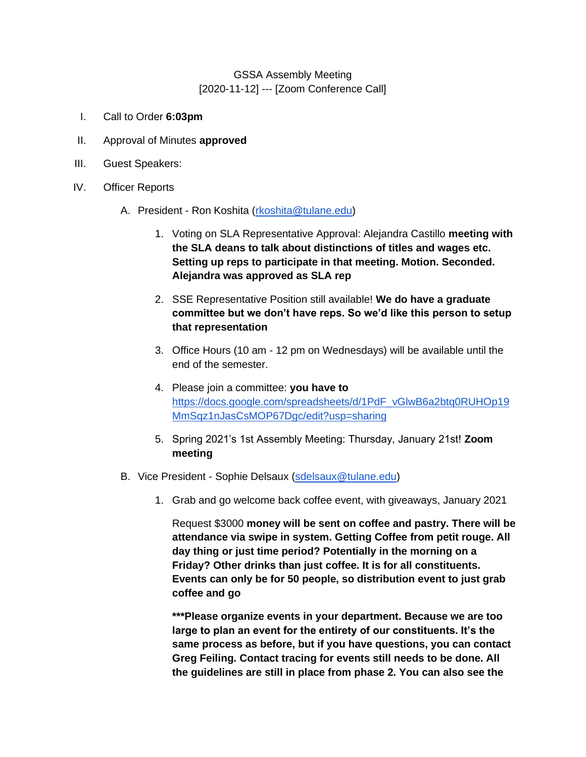## GSSA Assembly Meeting [2020-11-12] --- [Zoom Conference Call]

- I. Call to Order **6:03pm**
- II. Approval of Minutes **approved**
- III. Guest Speakers:
- IV. Officer Reports
	- A. President Ron Koshita [\(rkoshita@tulane.edu\)](mailto:rkoshita@tulane.edu)
		- 1. Voting on SLA Representative Approval: Alejandra Castillo **meeting with the SLA deans to talk about distinctions of titles and wages etc. Setting up reps to participate in that meeting. Motion. Seconded. Alejandra was approved as SLA rep**
		- 2. SSE Representative Position still available! **We do have a graduate committee but we don't have reps. So we'd like this person to setup that representation**
		- 3. Office Hours (10 am 12 pm on Wednesdays) will be available until the end of the semester.
		- 4. Please join a committee: **you have to**  [https://docs.google.com/spreadsheets/d/1PdF\\_vGlwB6a2btq0RUHOp19](https://docs.google.com/spreadsheets/d/1PdF_vGlwB6a2btq0RUHOp19MmSqz1nJasCsMOP67Dgc/edit?usp=sharing) [MmSqz1nJasCsMOP67Dgc/edit?usp=sharing](https://docs.google.com/spreadsheets/d/1PdF_vGlwB6a2btq0RUHOp19MmSqz1nJasCsMOP67Dgc/edit?usp=sharing)
		- 5. Spring 2021's 1st Assembly Meeting: Thursday, January 21st! **Zoom meeting**
	- B. Vice President Sophie Delsaux [\(sdelsaux@tulane.edu\)](mailto:sdelsaux@tulane.edu)
		- 1. Grab and go welcome back coffee event, with giveaways, January 2021

Request \$3000 **money will be sent on coffee and pastry. There will be attendance via swipe in system. Getting Coffee from petit rouge. All day thing or just time period? Potentially in the morning on a Friday? Other drinks than just coffee. It is for all constituents. Events can only be for 50 people, so distribution event to just grab coffee and go** 

**\*\*\*Please organize events in your department. Because we are too large to plan an event for the entirety of our constituents. It's the same process as before, but if you have questions, you can contact Greg Feiling. Contact tracing for events still needs to be done. All the guidelines are still in place from phase 2. You can also see the**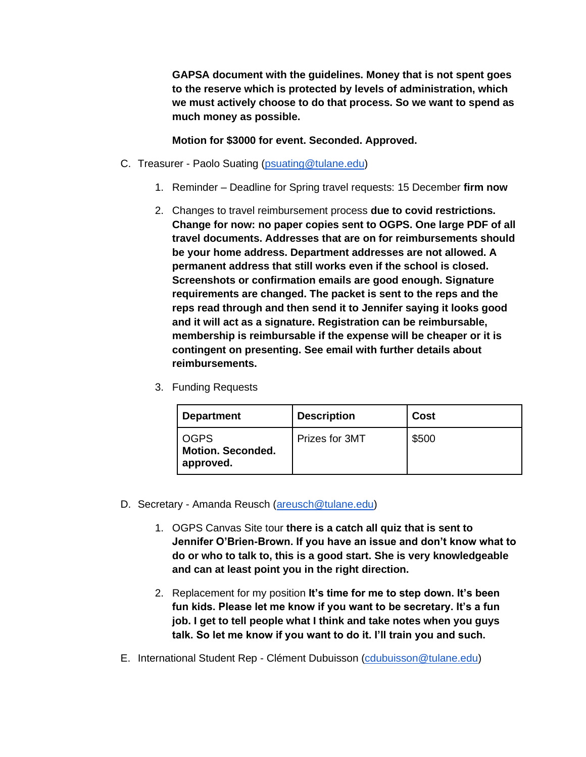**GAPSA document with the guidelines. Money that is not spent goes to the reserve which is protected by levels of administration, which we must actively choose to do that process. So we want to spend as much money as possible.** 

## **Motion for \$3000 for event. Seconded. Approved.**

- C. Treasurer Paolo Suating [\(psuating@tulane.edu\)](mailto:psuating@tulane.edu)
	- 1. Reminder Deadline for Spring travel requests: 15 December **firm now**
	- 2. Changes to travel reimbursement process **due to covid restrictions. Change for now: no paper copies sent to OGPS. One large PDF of all travel documents. Addresses that are on for reimbursements should be your home address. Department addresses are not allowed. A permanent address that still works even if the school is closed. Screenshots or confirmation emails are good enough. Signature requirements are changed. The packet is sent to the reps and the reps read through and then send it to Jennifer saying it looks good and it will act as a signature. Registration can be reimbursable, membership is reimbursable if the expense will be cheaper or it is contingent on presenting. See email with further details about reimbursements.**
	- 3. Funding Requests

| <b>Department</b>                                    | <b>Description</b> | <b>Cost</b> |
|------------------------------------------------------|--------------------|-------------|
| <b>OGPS</b><br><b>Motion. Seconded.</b><br>approved. | Prizes for 3MT     | \$500       |

- D. Secretary Amanda Reusch (areusch @tulane.edu)
	- 1. OGPS Canvas Site tour **there is a catch all quiz that is sent to Jennifer O'Brien-Brown. If you have an issue and don't know what to do or who to talk to, this is a good start. She is very knowledgeable and can at least point you in the right direction.**
	- 2. Replacement for my position **It's time for me to step down. It's been fun kids. Please let me know if you want to be secretary. It's a fun job. I get to tell people what I think and take notes when you guys talk. So let me know if you want to do it. I'll train you and such.**
- E. International Student Rep Clément Dubuisson [\(cdubuisson@tulane.edu\)](mailto:cdubuisson@tulane.edu)